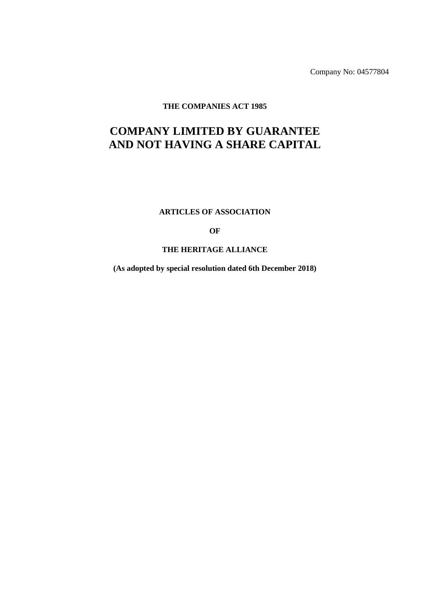Company No: 04577804

**THE COMPANIES ACT 1985**

# **COMPANY LIMITED BY GUARANTEE AND NOT HAVING A SHARE CAPITAL**

**ARTICLES OF ASSOCIATION**

**OF**

### **THE HERITAGE ALLIANCE**

**(As adopted by special resolution dated 6th December 2018)**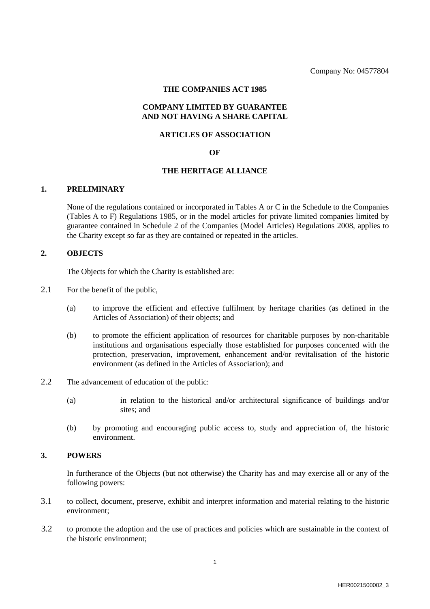#### **THE COMPANIES ACT 1985**

### **COMPANY LIMITED BY GUARANTEE AND NOT HAVING A SHARE CAPITAL**

#### **ARTICLES OF ASSOCIATION**

#### **OF**

#### **THE HERITAGE ALLIANCE**

#### **1. PRELIMINARY**

None of the regulations contained or incorporated in Tables A or C in the Schedule to the Companies (Tables A to F) Regulations 1985, or in the model articles for private limited companies limited by guarantee contained in Schedule 2 of the Companies (Model Articles) Regulations 2008, applies to the Charity except so far as they are contained or repeated in the articles.

### **2. OBJECTS**

The Objects for which the Charity is established are:

- 2.1 For the benefit of the public,
	- (a) to improve the efficient and effective fulfilment by heritage charities (as defined in the Articles of Association) of their objects; and
	- (b) to promote the efficient application of resources for charitable purposes by non-charitable institutions and organisations especially those established for purposes concerned with the protection, preservation, improvement, enhancement and/or revitalisation of the historic environment (as defined in the Articles of Association); and
- 2.2 The advancement of education of the public:
	- (a) in relation to the historical and/or architectural significance of buildings and/or sites; and
	- (b) by promoting and encouraging public access to, study and appreciation of, the historic environment.

### **3. POWERS**

In furtherance of the Objects (but not otherwise) the Charity has and may exercise all or any of the following powers:

- 3.1 to collect, document, preserve, exhibit and interpret information and material relating to the historic environment;
- 3.2 to promote the adoption and the use of practices and policies which are sustainable in the context of the historic environment;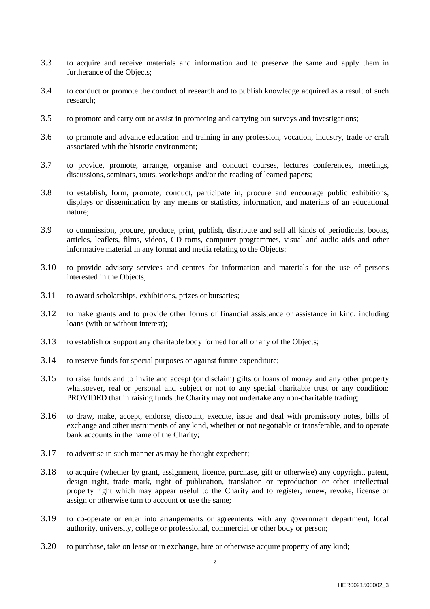- 3.3 to acquire and receive materials and information and to preserve the same and apply them in furtherance of the Objects;
- 3.4 to conduct or promote the conduct of research and to publish knowledge acquired as a result of such research;
- 3.5 to promote and carry out or assist in promoting and carrying out surveys and investigations;
- 3.6 to promote and advance education and training in any profession, vocation, industry, trade or craft associated with the historic environment;
- 3.7 to provide, promote, arrange, organise and conduct courses, lectures conferences, meetings, discussions, seminars, tours, workshops and/or the reading of learned papers;
- 3.8 to establish, form, promote, conduct, participate in, procure and encourage public exhibitions, displays or dissemination by any means or statistics, information, and materials of an educational nature;
- 3.9 to commission, procure, produce, print, publish, distribute and sell all kinds of periodicals, books, articles, leaflets, films, videos, CD roms, computer programmes, visual and audio aids and other informative material in any format and media relating to the Objects;
- 3.10 to provide advisory services and centres for information and materials for the use of persons interested in the Objects;
- 3.11 to award scholarships, exhibitions, prizes or bursaries;
- 3.12 to make grants and to provide other forms of financial assistance or assistance in kind, including loans (with or without interest);
- 3.13 to establish or support any charitable body formed for all or any of the Objects;
- 3.14 to reserve funds for special purposes or against future expenditure;
- 3.15 to raise funds and to invite and accept (or disclaim) gifts or loans of money and any other property whatsoever, real or personal and subject or not to any special charitable trust or any condition: PROVIDED that in raising funds the Charity may not undertake any non-charitable trading;
- 3.16 to draw, make, accept, endorse, discount, execute, issue and deal with promissory notes, bills of exchange and other instruments of any kind, whether or not negotiable or transferable, and to operate bank accounts in the name of the Charity;
- 3.17 to advertise in such manner as may be thought expedient;
- 3.18 to acquire (whether by grant, assignment, licence, purchase, gift or otherwise) any copyright, patent, design right, trade mark, right of publication, translation or reproduction or other intellectual property right which may appear useful to the Charity and to register, renew, revoke, license or assign or otherwise turn to account or use the same;
- 3.19 to co-operate or enter into arrangements or agreements with any government department, local authority, university, college or professional, commercial or other body or person;
- 3.20 to purchase, take on lease or in exchange, hire or otherwise acquire property of any kind;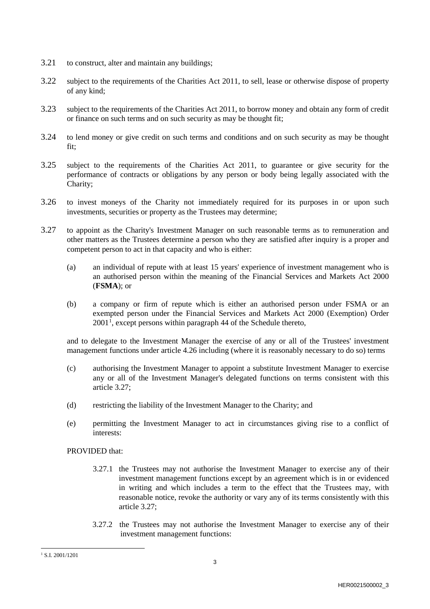- 3.21 to construct, alter and maintain any buildings;
- 3.22 subject to the requirements of the Charities Act 2011, to sell, lease or otherwise dispose of property of any kind;
- 3.23 subject to the requirements of the Charities Act 2011, to borrow money and obtain any form of credit or finance on such terms and on such security as may be thought fit;
- 3.24 to lend money or give credit on such terms and conditions and on such security as may be thought fit;
- 3.25 subject to the requirements of the Charities Act 2011, to guarantee or give security for the performance of contracts or obligations by any person or body being legally associated with the Charity;
- 3.26 to invest moneys of the Charity not immediately required for its purposes in or upon such investments, securities or property as the Trustees may determine;
- 3.27 to appoint as the Charity's Investment Manager on such reasonable terms as to remuneration and other matters as the Trustees determine a person who they are satisfied after inquiry is a proper and competent person to act in that capacity and who is either:
	- (a) an individual of repute with at least 15 years' experience of investment management who is an authorised person within the meaning of the Financial Services and Markets Act 2000 (**FSMA**); or
	- (b) a company or firm of repute which is either an authorised person under FSMA or an exempted person under the Financial Services and Markets Act 2000 (Exemption) Order 200[1](#page-3-0)<sup>1</sup>, except persons within paragraph 44 of the Schedule thereto,

and to delegate to the Investment Manager the exercise of any or all of the Trustees' investment management functions under article 4.26 including (where it is reasonably necessary to do so) terms

- (c) authorising the Investment Manager to appoint a substitute Investment Manager to exercise any or all of the Investment Manager's delegated functions on terms consistent with this article 3.27;
- (d) restricting the liability of the Investment Manager to the Charity; and
- (e) permitting the Investment Manager to act in circumstances giving rise to a conflict of interests:

PROVIDED that:

- 3.27.1 the Trustees may not authorise the Investment Manager to exercise any of their investment management functions except by an agreement which is in or evidenced in writing and which includes a term to the effect that the Trustees may, with reasonable notice, revoke the authority or vary any of its terms consistently with this article 3.27;
- 3.27.2 the Trustees may not authorise the Investment Manager to exercise any of their investment management functions:

<span id="page-3-0"></span> <sup>1</sup> S.I. 2001/1201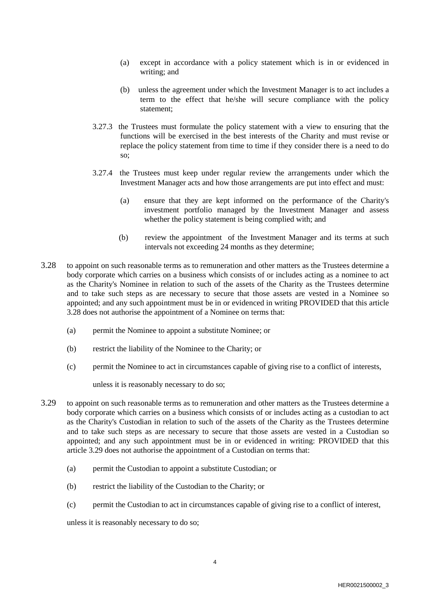- (a) except in accordance with a policy statement which is in or evidenced in writing; and
- (b) unless the agreement under which the Investment Manager is to act includes a term to the effect that he/she will secure compliance with the policy statement;
- 3.27.3 the Trustees must formulate the policy statement with a view to ensuring that the functions will be exercised in the best interests of the Charity and must revise or replace the policy statement from time to time if they consider there is a need to do so;
- 3.27.4 the Trustees must keep under regular review the arrangements under which the Investment Manager acts and how those arrangements are put into effect and must:
	- (a) ensure that they are kept informed on the performance of the Charity's investment portfolio managed by the Investment Manager and assess whether the policy statement is being complied with; and
	- (b) review the appointment of the Investment Manager and its terms at such intervals not exceeding 24 months as they determine;
- 3.28 to appoint on such reasonable terms as to remuneration and other matters as the Trustees determine a body corporate which carries on a business which consists of or includes acting as a nominee to act as the Charity's Nominee in relation to such of the assets of the Charity as the Trustees determine and to take such steps as are necessary to secure that those assets are vested in a Nominee so appointed; and any such appointment must be in or evidenced in writing PROVIDED that this article 3.28 does not authorise the appointment of a Nominee on terms that:
	- (a) permit the Nominee to appoint a substitute Nominee; or
	- (b) restrict the liability of the Nominee to the Charity; or
	- (c) permit the Nominee to act in circumstances capable of giving rise to a conflict of interests,

unless it is reasonably necessary to do so;

- 3.29 to appoint on such reasonable terms as to remuneration and other matters as the Trustees determine a body corporate which carries on a business which consists of or includes acting as a custodian to act as the Charity's Custodian in relation to such of the assets of the Charity as the Trustees determine and to take such steps as are necessary to secure that those assets are vested in a Custodian so appointed; and any such appointment must be in or evidenced in writing: PROVIDED that this article 3.29 does not authorise the appointment of a Custodian on terms that:
	- (a) permit the Custodian to appoint a substitute Custodian; or
	- (b) restrict the liability of the Custodian to the Charity; or
	- (c) permit the Custodian to act in circumstances capable of giving rise to a conflict of interest,

unless it is reasonably necessary to do so;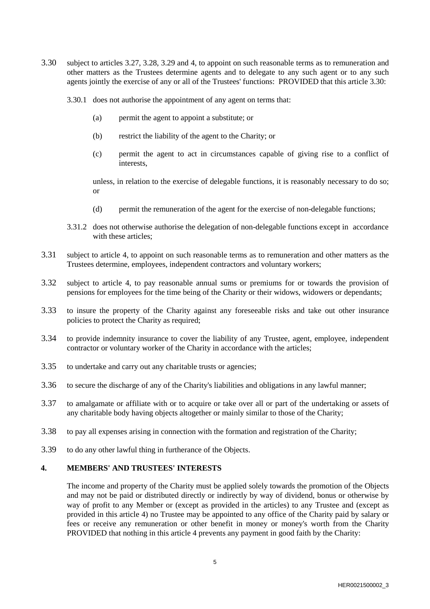- 3.30 subject to articles 3.27, 3.28, 3.29 and 4, to appoint on such reasonable terms as to remuneration and other matters as the Trustees determine agents and to delegate to any such agent or to any such agents jointly the exercise of any or all of the Trustees' functions: PROVIDED that this article 3.30:
	- 3.30.1 does not authorise the appointment of any agent on terms that:
		- (a) permit the agent to appoint a substitute; or
		- (b) restrict the liability of the agent to the Charity; or
		- (c) permit the agent to act in circumstances capable of giving rise to a conflict of interests,

unless, in relation to the exercise of delegable functions, it is reasonably necessary to do so; or

- (d) permit the remuneration of the agent for the exercise of non-delegable functions;
- 3.31.2 does not otherwise authorise the delegation of non-delegable functions except in accordance with these articles:
- 3.31 subject to article 4, to appoint on such reasonable terms as to remuneration and other matters as the Trustees determine, employees, independent contractors and voluntary workers;
- 3.32 subject to article 4, to pay reasonable annual sums or premiums for or towards the provision of pensions for employees for the time being of the Charity or their widows, widowers or dependants;
- 3.33 to insure the property of the Charity against any foreseeable risks and take out other insurance policies to protect the Charity as required;
- 3.34 to provide indemnity insurance to cover the liability of any Trustee, agent, employee, independent contractor or voluntary worker of the Charity in accordance with the articles;
- 3.35 to undertake and carry out any charitable trusts or agencies;
- 3.36 to secure the discharge of any of the Charity's liabilities and obligations in any lawful manner;
- 3.37 to amalgamate or affiliate with or to acquire or take over all or part of the undertaking or assets of any charitable body having objects altogether or mainly similar to those of the Charity;
- 3.38 to pay all expenses arising in connection with the formation and registration of the Charity;
- 3.39 to do any other lawful thing in furtherance of the Objects.

### **4. MEMBERS' AND TRUSTEES' INTERESTS**

The income and property of the Charity must be applied solely towards the promotion of the Objects and may not be paid or distributed directly or indirectly by way of dividend, bonus or otherwise by way of profit to any Member or (except as provided in the articles) to any Trustee and (except as provided in this article 4) no Trustee may be appointed to any office of the Charity paid by salary or fees or receive any remuneration or other benefit in money or money's worth from the Charity PROVIDED that nothing in this article 4 prevents any payment in good faith by the Charity: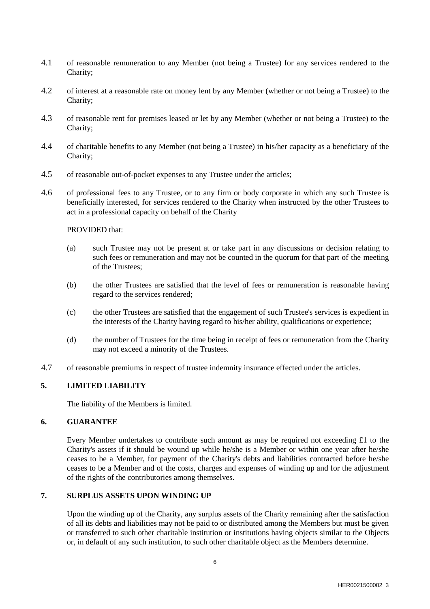- 4.1 of reasonable remuneration to any Member (not being a Trustee) for any services rendered to the Charity;
- 4.2 of interest at a reasonable rate on money lent by any Member (whether or not being a Trustee) to the Charity;
- 4.3 of reasonable rent for premises leased or let by any Member (whether or not being a Trustee) to the Charity;
- 4.4 of charitable benefits to any Member (not being a Trustee) in his/her capacity as a beneficiary of the Charity;
- 4.5 of reasonable out-of-pocket expenses to any Trustee under the articles;
- 4.6 of professional fees to any Trustee, or to any firm or body corporate in which any such Trustee is beneficially interested, for services rendered to the Charity when instructed by the other Trustees to act in a professional capacity on behalf of the Charity

PROVIDED that:

- (a) such Trustee may not be present at or take part in any discussions or decision relating to such fees or remuneration and may not be counted in the quorum for that part of the meeting of the Trustees;
- (b) the other Trustees are satisfied that the level of fees or remuneration is reasonable having regard to the services rendered;
- (c) the other Trustees are satisfied that the engagement of such Trustee's services is expedient in the interests of the Charity having regard to his/her ability, qualifications or experience;
- (d) the number of Trustees for the time being in receipt of fees or remuneration from the Charity may not exceed a minority of the Trustees.
- 4.7 of reasonable premiums in respect of trustee indemnity insurance effected under the articles.

### **5. LIMITED LIABILITY**

The liability of the Members is limited.

### **6. GUARANTEE**

Every Member undertakes to contribute such amount as may be required not exceeding  $\pounds 1$  to the Charity's assets if it should be wound up while he/she is a Member or within one year after he/she ceases to be a Member, for payment of the Charity's debts and liabilities contracted before he/she ceases to be a Member and of the costs, charges and expenses of winding up and for the adjustment of the rights of the contributories among themselves.

### **7. SURPLUS ASSETS UPON WINDING UP**

Upon the winding up of the Charity, any surplus assets of the Charity remaining after the satisfaction of all its debts and liabilities may not be paid to or distributed among the Members but must be given or transferred to such other charitable institution or institutions having objects similar to the Objects or, in default of any such institution, to such other charitable object as the Members determine.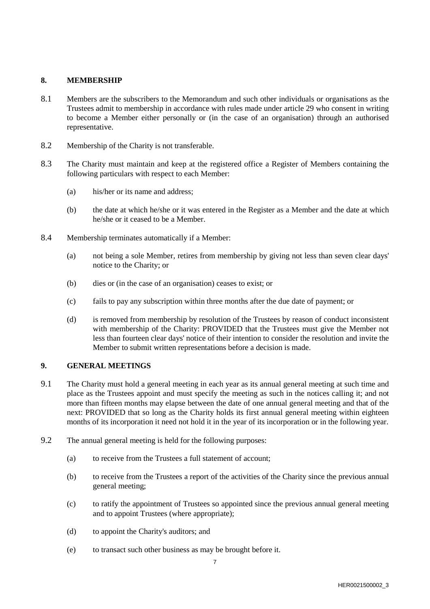### **8. MEMBERSHIP**

- 8.1 Members are the subscribers to the Memorandum and such other individuals or organisations as the Trustees admit to membership in accordance with rules made under article 29 who consent in writing to become a Member either personally or (in the case of an organisation) through an authorised representative.
- 8.2 Membership of the Charity is not transferable.
- 8.3 The Charity must maintain and keep at the registered office a Register of Members containing the following particulars with respect to each Member:
	- (a) his/her or its name and address;
	- (b) the date at which he/she or it was entered in the Register as a Member and the date at which he/she or it ceased to be a Member.
- 8.4 Membership terminates automatically if a Member:
	- (a) not being a sole Member, retires from membership by giving not less than seven clear days' notice to the Charity; or
	- (b) dies or (in the case of an organisation) ceases to exist; or
	- (c) fails to pay any subscription within three months after the due date of payment; or
	- (d) is removed from membership by resolution of the Trustees by reason of conduct inconsistent with membership of the Charity: PROVIDED that the Trustees must give the Member not less than fourteen clear days' notice of their intention to consider the resolution and invite the Member to submit written representations before a decision is made.

### **9. GENERAL MEETINGS**

- 9.1 The Charity must hold a general meeting in each year as its annual general meeting at such time and place as the Trustees appoint and must specify the meeting as such in the notices calling it; and not more than fifteen months may elapse between the date of one annual general meeting and that of the next: PROVIDED that so long as the Charity holds its first annual general meeting within eighteen months of its incorporation it need not hold it in the year of its incorporation or in the following year.
- 9.2 The annual general meeting is held for the following purposes:
	- (a) to receive from the Trustees a full statement of account;
	- (b) to receive from the Trustees a report of the activities of the Charity since the previous annual general meeting;
	- (c) to ratify the appointment of Trustees so appointed since the previous annual general meeting and to appoint Trustees (where appropriate);
	- (d) to appoint the Charity's auditors; and
	- (e) to transact such other business as may be brought before it.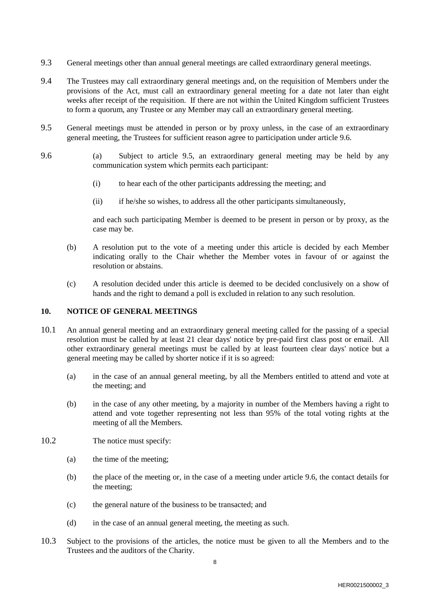- 9.3 General meetings other than annual general meetings are called extraordinary general meetings.
- 9.4 The Trustees may call extraordinary general meetings and, on the requisition of Members under the provisions of the Act, must call an extraordinary general meeting for a date not later than eight weeks after receipt of the requisition. If there are not within the United Kingdom sufficient Trustees to form a quorum, any Trustee or any Member may call an extraordinary general meeting.
- 9.5 General meetings must be attended in person or by proxy unless, in the case of an extraordinary general meeting, the Trustees for sufficient reason agree to participation under article 9.6.
- 9.6 (a) Subject to article 9.5, an extraordinary general meeting may be held by any communication system which permits each participant:
	- (i) to hear each of the other participants addressing the meeting; and
	- (ii) if he/she so wishes, to address all the other participants simultaneously,

and each such participating Member is deemed to be present in person or by proxy, as the case may be.

- (b) A resolution put to the vote of a meeting under this article is decided by each Member indicating orally to the Chair whether the Member votes in favour of or against the resolution or abstains.
- (c) A resolution decided under this article is deemed to be decided conclusively on a show of hands and the right to demand a poll is excluded in relation to any such resolution.

#### **10. NOTICE OF GENERAL MEETINGS**

- 10.1 An annual general meeting and an extraordinary general meeting called for the passing of a special resolution must be called by at least 21 clear days' notice by pre-paid first class post or email. All other extraordinary general meetings must be called by at least fourteen clear days' notice but a general meeting may be called by shorter notice if it is so agreed:
	- (a) in the case of an annual general meeting, by all the Members entitled to attend and vote at the meeting; and
	- (b) in the case of any other meeting, by a majority in number of the Members having a right to attend and vote together representing not less than 95% of the total voting rights at the meeting of all the Members.
- 10.2 The notice must specify:
	- (a) the time of the meeting;
	- (b) the place of the meeting or, in the case of a meeting under article 9.6, the contact details for the meeting;
	- (c) the general nature of the business to be transacted; and
	- (d) in the case of an annual general meeting, the meeting as such.
- 10.3 Subject to the provisions of the articles, the notice must be given to all the Members and to the Trustees and the auditors of the Charity.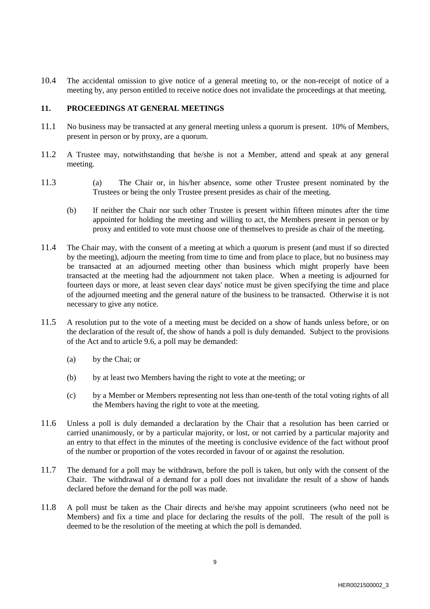10.4 The accidental omission to give notice of a general meeting to, or the non-receipt of notice of a meeting by, any person entitled to receive notice does not invalidate the proceedings at that meeting.

### **11. PROCEEDINGS AT GENERAL MEETINGS**

- 11.1 No business may be transacted at any general meeting unless a quorum is present. 10% of Members, present in person or by proxy, are a quorum.
- 11.2 A Trustee may, notwithstanding that he/she is not a Member, attend and speak at any general meeting.
- 11.3 (a) The Chair or, in his/her absence, some other Trustee present nominated by the Trustees or being the only Trustee present presides as chair of the meeting.
	- (b) If neither the Chair nor such other Trustee is present within fifteen minutes after the time appointed for holding the meeting and willing to act, the Members present in person or by proxy and entitled to vote must choose one of themselves to preside as chair of the meeting.
- 11.4 The Chair may, with the consent of a meeting at which a quorum is present (and must if so directed by the meeting), adjourn the meeting from time to time and from place to place, but no business may be transacted at an adjourned meeting other than business which might properly have been transacted at the meeting had the adjournment not taken place. When a meeting is adjourned for fourteen days or more, at least seven clear days' notice must be given specifying the time and place of the adjourned meeting and the general nature of the business to be transacted. Otherwise it is not necessary to give any notice.
- 11.5 A resolution put to the vote of a meeting must be decided on a show of hands unless before, or on the declaration of the result of, the show of hands a poll is duly demanded. Subject to the provisions of the Act and to article 9.6, a poll may be demanded:
	- (a) by the Chai; or
	- (b) by at least two Members having the right to vote at the meeting; or
	- (c) by a Member or Members representing not less than one-tenth of the total voting rights of all the Members having the right to vote at the meeting.
- 11.6 Unless a poll is duly demanded a declaration by the Chair that a resolution has been carried or carried unanimously, or by a particular majority, or lost, or not carried by a particular majority and an entry to that effect in the minutes of the meeting is conclusive evidence of the fact without proof of the number or proportion of the votes recorded in favour of or against the resolution.
- 11.7 The demand for a poll may be withdrawn, before the poll is taken, but only with the consent of the Chair. The withdrawal of a demand for a poll does not invalidate the result of a show of hands declared before the demand for the poll was made.
- 11.8 A poll must be taken as the Chair directs and he/she may appoint scrutineers (who need not be Members) and fix a time and place for declaring the results of the poll. The result of the poll is deemed to be the resolution of the meeting at which the poll is demanded.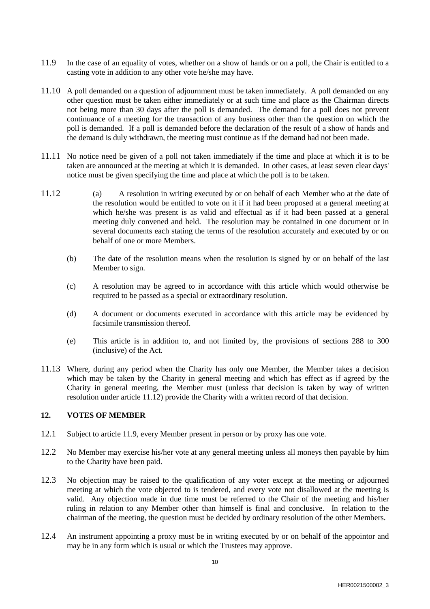- 11.9 In the case of an equality of votes, whether on a show of hands or on a poll, the Chair is entitled to a casting vote in addition to any other vote he/she may have.
- 11.10 A poll demanded on a question of adjournment must be taken immediately. A poll demanded on any other question must be taken either immediately or at such time and place as the Chairman directs not being more than 30 days after the poll is demanded. The demand for a poll does not prevent continuance of a meeting for the transaction of any business other than the question on which the poll is demanded. If a poll is demanded before the declaration of the result of a show of hands and the demand is duly withdrawn, the meeting must continue as if the demand had not been made.
- 11.11 No notice need be given of a poll not taken immediately if the time and place at which it is to be taken are announced at the meeting at which it is demanded. In other cases, at least seven clear days' notice must be given specifying the time and place at which the poll is to be taken.
- 11.12 (a) A resolution in writing executed by or on behalf of each Member who at the date of the resolution would be entitled to vote on it if it had been proposed at a general meeting at which he/she was present is as valid and effectual as if it had been passed at a general meeting duly convened and held. The resolution may be contained in one document or in several documents each stating the terms of the resolution accurately and executed by or on behalf of one or more Members.
	- (b) The date of the resolution means when the resolution is signed by or on behalf of the last Member to sign.
	- (c) A resolution may be agreed to in accordance with this article which would otherwise be required to be passed as a special or extraordinary resolution.
	- (d) A document or documents executed in accordance with this article may be evidenced by facsimile transmission thereof.
	- (e) This article is in addition to, and not limited by, the provisions of sections 288 to 300 (inclusive) of the Act.
- 11.13 Where, during any period when the Charity has only one Member, the Member takes a decision which may be taken by the Charity in general meeting and which has effect as if agreed by the Charity in general meeting, the Member must (unless that decision is taken by way of written resolution under article 11.12) provide the Charity with a written record of that decision.

### **12. VOTES OF MEMBER**

- 12.1 Subject to article 11.9, every Member present in person or by proxy has one vote.
- 12.2 No Member may exercise his/her vote at any general meeting unless all moneys then payable by him to the Charity have been paid.
- 12.3 No objection may be raised to the qualification of any voter except at the meeting or adjourned meeting at which the vote objected to is tendered, and every vote not disallowed at the meeting is valid. Any objection made in due time must be referred to the Chair of the meeting and his/her ruling in relation to any Member other than himself is final and conclusive. In relation to the chairman of the meeting, the question must be decided by ordinary resolution of the other Members.
- 12.4 An instrument appointing a proxy must be in writing executed by or on behalf of the appointor and may be in any form which is usual or which the Trustees may approve.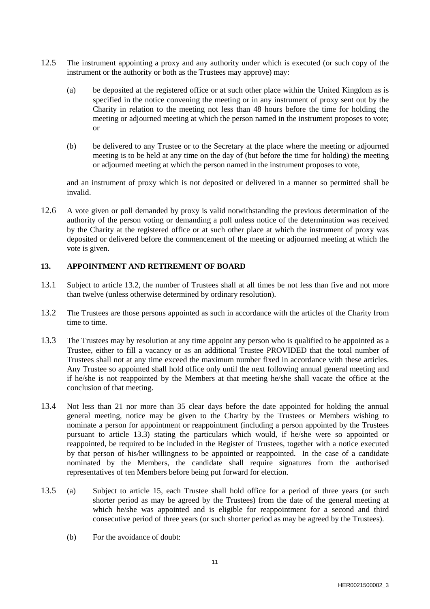- 12.5 The instrument appointing a proxy and any authority under which is executed (or such copy of the instrument or the authority or both as the Trustees may approve) may:
	- (a) be deposited at the registered office or at such other place within the United Kingdom as is specified in the notice convening the meeting or in any instrument of proxy sent out by the Charity in relation to the meeting not less than 48 hours before the time for holding the meeting or adjourned meeting at which the person named in the instrument proposes to vote; or
	- (b) be delivered to any Trustee or to the Secretary at the place where the meeting or adjourned meeting is to be held at any time on the day of (but before the time for holding) the meeting or adjourned meeting at which the person named in the instrument proposes to vote,

and an instrument of proxy which is not deposited or delivered in a manner so permitted shall be invalid.

12.6 A vote given or poll demanded by proxy is valid notwithstanding the previous determination of the authority of the person voting or demanding a poll unless notice of the determination was received by the Charity at the registered office or at such other place at which the instrument of proxy was deposited or delivered before the commencement of the meeting or adjourned meeting at which the vote is given.

### **13. APPOINTMENT AND RETIREMENT OF BOARD**

- 13.1 Subject to article 13.2, the number of Trustees shall at all times be not less than five and not more than twelve (unless otherwise determined by ordinary resolution).
- 13.2 The Trustees are those persons appointed as such in accordance with the articles of the Charity from time to time.
- 13.3 The Trustees may by resolution at any time appoint any person who is qualified to be appointed as a Trustee, either to fill a vacancy or as an additional Trustee PROVIDED that the total number of Trustees shall not at any time exceed the maximum number fixed in accordance with these articles. Any Trustee so appointed shall hold office only until the next following annual general meeting and if he/she is not reappointed by the Members at that meeting he/she shall vacate the office at the conclusion of that meeting.
- 13.4 Not less than 21 nor more than 35 clear days before the date appointed for holding the annual general meeting, notice may be given to the Charity by the Trustees or Members wishing to nominate a person for appointment or reappointment (including a person appointed by the Trustees pursuant to article 13.3) stating the particulars which would, if he/she were so appointed or reappointed, be required to be included in the Register of Trustees, together with a notice executed by that person of his/her willingness to be appointed or reappointed. In the case of a candidate nominated by the Members, the candidate shall require signatures from the authorised representatives of ten Members before being put forward for election.
- 13.5 (a) Subject to article 15, each Trustee shall hold office for a period of three years (or such shorter period as may be agreed by the Trustees) from the date of the general meeting at which he/she was appointed and is eligible for reappointment for a second and third consecutive period of three years (or such shorter period as may be agreed by the Trustees).
	- (b) For the avoidance of doubt: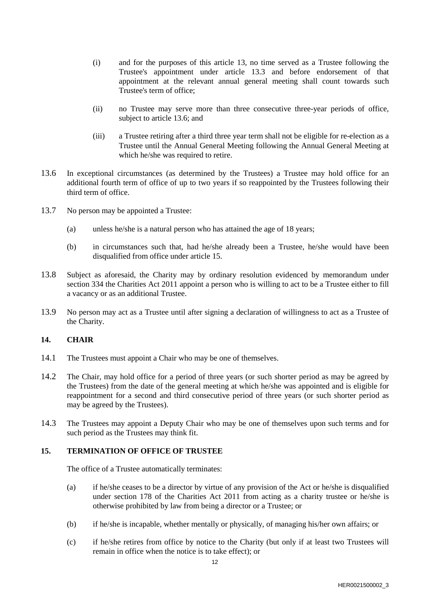- (i) and for the purposes of this article 13, no time served as a Trustee following the Trustee's appointment under article 13.3 and before endorsement of that appointment at the relevant annual general meeting shall count towards such Trustee's term of office;
- (ii) no Trustee may serve more than three consecutive three-year periods of office, subject to article 13.6; and
- (iii) a Trustee retiring after a third three year term shall not be eligible for re-election as a Trustee until the Annual General Meeting following the Annual General Meeting at which he/she was required to retire.
- 13.6 In exceptional circumstances (as determined by the Trustees) a Trustee may hold office for an additional fourth term of office of up to two years if so reappointed by the Trustees following their third term of office.
- 13.7 No person may be appointed a Trustee:
	- (a) unless he/she is a natural person who has attained the age of 18 years;
	- (b) in circumstances such that, had he/she already been a Trustee, he/she would have been disqualified from office under article 15.
- 13.8 Subject as aforesaid, the Charity may by ordinary resolution evidenced by memorandum under section 334 the Charities Act 2011 appoint a person who is willing to act to be a Trustee either to fill a vacancy or as an additional Trustee.
- 13.9 No person may act as a Trustee until after signing a declaration of willingness to act as a Trustee of the Charity.

### **14. CHAIR**

- 14.1 The Trustees must appoint a Chair who may be one of themselves.
- 14.2 The Chair, may hold office for a period of three years (or such shorter period as may be agreed by the Trustees) from the date of the general meeting at which he/she was appointed and is eligible for reappointment for a second and third consecutive period of three years (or such shorter period as may be agreed by the Trustees).
- 14.3 The Trustees may appoint a Deputy Chair who may be one of themselves upon such terms and for such period as the Trustees may think fit.

### **15. TERMINATION OF OFFICE OF TRUSTEE**

The office of a Trustee automatically terminates:

- (a) if he/she ceases to be a director by virtue of any provision of the Act or he/she is disqualified under section 178 of the Charities Act 2011 from acting as a charity trustee or he/she is otherwise prohibited by law from being a director or a Trustee; or
- (b) if he/she is incapable, whether mentally or physically, of managing his/her own affairs; or
- (c) if he/she retires from office by notice to the Charity (but only if at least two Trustees will remain in office when the notice is to take effect); or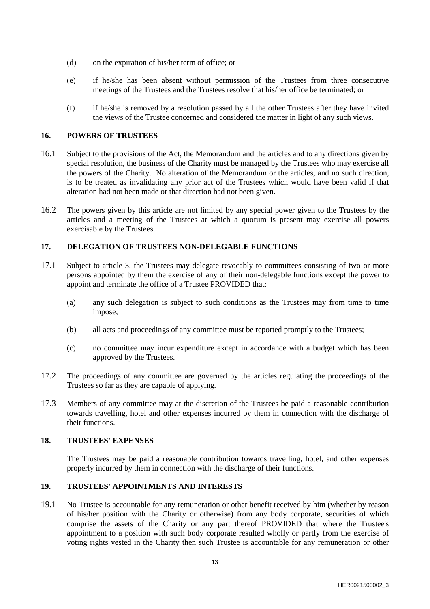- (d) on the expiration of his/her term of office; or
- (e) if he/she has been absent without permission of the Trustees from three consecutive meetings of the Trustees and the Trustees resolve that his/her office be terminated; or
- (f) if he/she is removed by a resolution passed by all the other Trustees after they have invited the views of the Trustee concerned and considered the matter in light of any such views.

### **16. POWERS OF TRUSTEES**

- 16.1 Subject to the provisions of the Act, the Memorandum and the articles and to any directions given by special resolution, the business of the Charity must be managed by the Trustees who may exercise all the powers of the Charity. No alteration of the Memorandum or the articles, and no such direction, is to be treated as invalidating any prior act of the Trustees which would have been valid if that alteration had not been made or that direction had not been given.
- 16.2 The powers given by this article are not limited by any special power given to the Trustees by the articles and a meeting of the Trustees at which a quorum is present may exercise all powers exercisable by the Trustees.

### **17. DELEGATION OF TRUSTEES NON-DELEGABLE FUNCTIONS**

- 17.1 Subject to article 3, the Trustees may delegate revocably to committees consisting of two or more persons appointed by them the exercise of any of their non-delegable functions except the power to appoint and terminate the office of a Trustee PROVIDED that:
	- (a) any such delegation is subject to such conditions as the Trustees may from time to time impose;
	- (b) all acts and proceedings of any committee must be reported promptly to the Trustees;
	- (c) no committee may incur expenditure except in accordance with a budget which has been approved by the Trustees.
- 17.2 The proceedings of any committee are governed by the articles regulating the proceedings of the Trustees so far as they are capable of applying.
- 17.3 Members of any committee may at the discretion of the Trustees be paid a reasonable contribution towards travelling, hotel and other expenses incurred by them in connection with the discharge of their functions.

### **18. TRUSTEES' EXPENSES**

The Trustees may be paid a reasonable contribution towards travelling, hotel, and other expenses properly incurred by them in connection with the discharge of their functions.

### **19. TRUSTEES' APPOINTMENTS AND INTERESTS**

19.1 No Trustee is accountable for any remuneration or other benefit received by him (whether by reason of his/her position with the Charity or otherwise) from any body corporate, securities of which comprise the assets of the Charity or any part thereof PROVIDED that where the Trustee's appointment to a position with such body corporate resulted wholly or partly from the exercise of voting rights vested in the Charity then such Trustee is accountable for any remuneration or other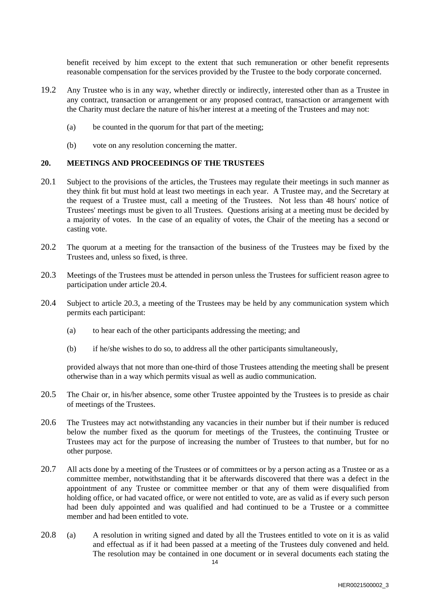benefit received by him except to the extent that such remuneration or other benefit represents reasonable compensation for the services provided by the Trustee to the body corporate concerned.

- 19.2 Any Trustee who is in any way, whether directly or indirectly, interested other than as a Trustee in any contract, transaction or arrangement or any proposed contract, transaction or arrangement with the Charity must declare the nature of his/her interest at a meeting of the Trustees and may not:
	- (a) be counted in the quorum for that part of the meeting;
	- (b) vote on any resolution concerning the matter.

### **20. MEETINGS AND PROCEEDINGS OF THE TRUSTEES**

- 20.1 Subject to the provisions of the articles, the Trustees may regulate their meetings in such manner as they think fit but must hold at least two meetings in each year. A Trustee may, and the Secretary at the request of a Trustee must, call a meeting of the Trustees. Not less than 48 hours' notice of Trustees' meetings must be given to all Trustees. Questions arising at a meeting must be decided by a majority of votes. In the case of an equality of votes, the Chair of the meeting has a second or casting vote.
- 20.2 The quorum at a meeting for the transaction of the business of the Trustees may be fixed by the Trustees and, unless so fixed, is three.
- 20.3 Meetings of the Trustees must be attended in person unless the Trustees for sufficient reason agree to participation under article 20.4.
- 20.4 Subject to article 20.3, a meeting of the Trustees may be held by any communication system which permits each participant:
	- (a) to hear each of the other participants addressing the meeting; and
	- (b) if he/she wishes to do so, to address all the other participants simultaneously,

provided always that not more than one-third of those Trustees attending the meeting shall be present otherwise than in a way which permits visual as well as audio communication.

- 20.5 The Chair or, in his/her absence, some other Trustee appointed by the Trustees is to preside as chair of meetings of the Trustees.
- 20.6 The Trustees may act notwithstanding any vacancies in their number but if their number is reduced below the number fixed as the quorum for meetings of the Trustees, the continuing Trustee or Trustees may act for the purpose of increasing the number of Trustees to that number, but for no other purpose.
- 20.7 All acts done by a meeting of the Trustees or of committees or by a person acting as a Trustee or as a committee member, notwithstanding that it be afterwards discovered that there was a defect in the appointment of any Trustee or committee member or that any of them were disqualified from holding office, or had vacated office, or were not entitled to vote, are as valid as if every such person had been duly appointed and was qualified and had continued to be a Trustee or a committee member and had been entitled to vote.
- 20.8 (a) A resolution in writing signed and dated by all the Trustees entitled to vote on it is as valid and effectual as if it had been passed at a meeting of the Trustees duly convened and held. The resolution may be contained in one document or in several documents each stating the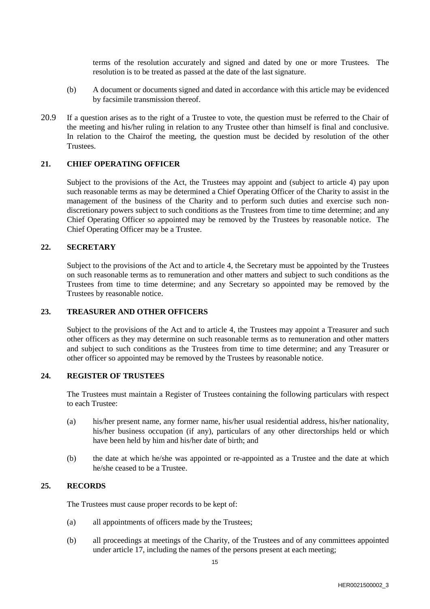terms of the resolution accurately and signed and dated by one or more Trustees. The resolution is to be treated as passed at the date of the last signature.

- (b) A document or documents signed and dated in accordance with this article may be evidenced by facsimile transmission thereof.
- 20.9 If a question arises as to the right of a Trustee to vote, the question must be referred to the Chair of the meeting and his/her ruling in relation to any Trustee other than himself is final and conclusive. In relation to the Chairof the meeting, the question must be decided by resolution of the other Trustees.

### **21. CHIEF OPERATING OFFICER**

Subject to the provisions of the Act, the Trustees may appoint and (subject to article 4) pay upon such reasonable terms as may be determined a Chief Operating Officer of the Charity to assist in the management of the business of the Charity and to perform such duties and exercise such nondiscretionary powers subject to such conditions as the Trustees from time to time determine; and any Chief Operating Officer so appointed may be removed by the Trustees by reasonable notice. The Chief Operating Officer may be a Trustee.

#### **22. SECRETARY**

Subject to the provisions of the Act and to article 4, the Secretary must be appointed by the Trustees on such reasonable terms as to remuneration and other matters and subject to such conditions as the Trustees from time to time determine; and any Secretary so appointed may be removed by the Trustees by reasonable notice.

### **23. TREASURER AND OTHER OFFICERS**

Subject to the provisions of the Act and to article 4, the Trustees may appoint a Treasurer and such other officers as they may determine on such reasonable terms as to remuneration and other matters and subject to such conditions as the Trustees from time to time determine; and any Treasurer or other officer so appointed may be removed by the Trustees by reasonable notice.

#### **24. REGISTER OF TRUSTEES**

The Trustees must maintain a Register of Trustees containing the following particulars with respect to each Trustee:

- (a) his/her present name, any former name, his/her usual residential address, his/her nationality, his/her business occupation (if any), particulars of any other directorships held or which have been held by him and his/her date of birth; and
- (b) the date at which he/she was appointed or re-appointed as a Trustee and the date at which he/she ceased to be a Trustee.

#### **25. RECORDS**

The Trustees must cause proper records to be kept of:

- (a) all appointments of officers made by the Trustees;
- (b) all proceedings at meetings of the Charity, of the Trustees and of any committees appointed under article 17, including the names of the persons present at each meeting;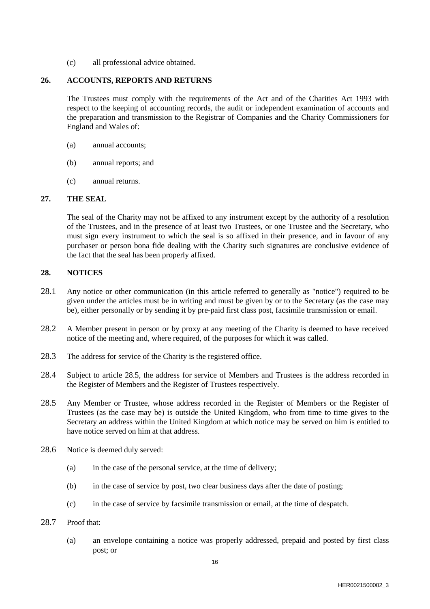(c) all professional advice obtained.

## **26. ACCOUNTS, REPORTS AND RETURNS**

The Trustees must comply with the requirements of the Act and of the Charities Act 1993 with respect to the keeping of accounting records, the audit or independent examination of accounts and the preparation and transmission to the Registrar of Companies and the Charity Commissioners for England and Wales of:

- (a) annual accounts;
- (b) annual reports; and
- (c) annual returns.

# **27. THE SEAL**

The seal of the Charity may not be affixed to any instrument except by the authority of a resolution of the Trustees, and in the presence of at least two Trustees, or one Trustee and the Secretary, who must sign every instrument to which the seal is so affixed in their presence, and in favour of any purchaser or person bona fide dealing with the Charity such signatures are conclusive evidence of the fact that the seal has been properly affixed.

# **28. NOTICES**

- 28.1 Any notice or other communication (in this article referred to generally as "notice") required to be given under the articles must be in writing and must be given by or to the Secretary (as the case may be), either personally or by sending it by pre-paid first class post, facsimile transmission or email.
- 28.2 A Member present in person or by proxy at any meeting of the Charity is deemed to have received notice of the meeting and, where required, of the purposes for which it was called.
- 28.3 The address for service of the Charity is the registered office.
- 28.4 Subject to article 28.5, the address for service of Members and Trustees is the address recorded in the Register of Members and the Register of Trustees respectively.
- 28.5 Any Member or Trustee, whose address recorded in the Register of Members or the Register of Trustees (as the case may be) is outside the United Kingdom, who from time to time gives to the Secretary an address within the United Kingdom at which notice may be served on him is entitled to have notice served on him at that address.
- 28.6 Notice is deemed duly served:
	- (a) in the case of the personal service, at the time of delivery;
	- (b) in the case of service by post, two clear business days after the date of posting;
	- (c) in the case of service by facsimile transmission or email, at the time of despatch.
- 28.7 Proof that:
	- (a) an envelope containing a notice was properly addressed, prepaid and posted by first class post; or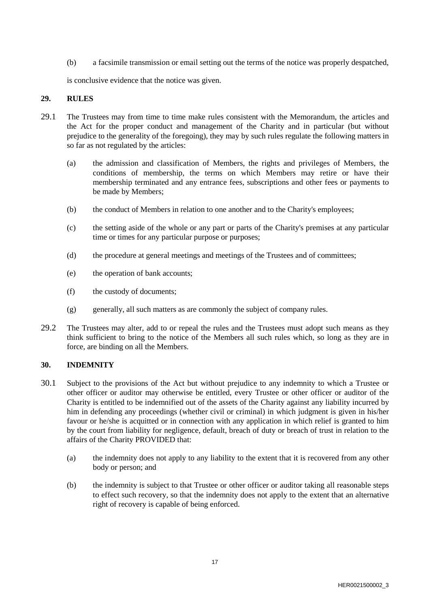(b) a facsimile transmission or email setting out the terms of the notice was properly despatched,

is conclusive evidence that the notice was given.

### **29. RULES**

- 29.1 The Trustees may from time to time make rules consistent with the Memorandum, the articles and the Act for the proper conduct and management of the Charity and in particular (but without prejudice to the generality of the foregoing), they may by such rules regulate the following matters in so far as not regulated by the articles:
	- (a) the admission and classification of Members, the rights and privileges of Members, the conditions of membership, the terms on which Members may retire or have their membership terminated and any entrance fees, subscriptions and other fees or payments to be made by Members;
	- (b) the conduct of Members in relation to one another and to the Charity's employees;
	- (c) the setting aside of the whole or any part or parts of the Charity's premises at any particular time or times for any particular purpose or purposes;
	- (d) the procedure at general meetings and meetings of the Trustees and of committees;
	- (e) the operation of bank accounts;
	- (f) the custody of documents;
	- (g) generally, all such matters as are commonly the subject of company rules.
- 29.2 The Trustees may alter, add to or repeal the rules and the Trustees must adopt such means as they think sufficient to bring to the notice of the Members all such rules which, so long as they are in force, are binding on all the Members.

### **30. INDEMNITY**

- 30.1 Subject to the provisions of the Act but without prejudice to any indemnity to which a Trustee or other officer or auditor may otherwise be entitled, every Trustee or other officer or auditor of the Charity is entitled to be indemnified out of the assets of the Charity against any liability incurred by him in defending any proceedings (whether civil or criminal) in which judgment is given in his/her favour or he/she is acquitted or in connection with any application in which relief is granted to him by the court from liability for negligence, default, breach of duty or breach of trust in relation to the affairs of the Charity PROVIDED that:
	- (a) the indemnity does not apply to any liability to the extent that it is recovered from any other body or person; and
	- (b) the indemnity is subject to that Trustee or other officer or auditor taking all reasonable steps to effect such recovery, so that the indemnity does not apply to the extent that an alternative right of recovery is capable of being enforced.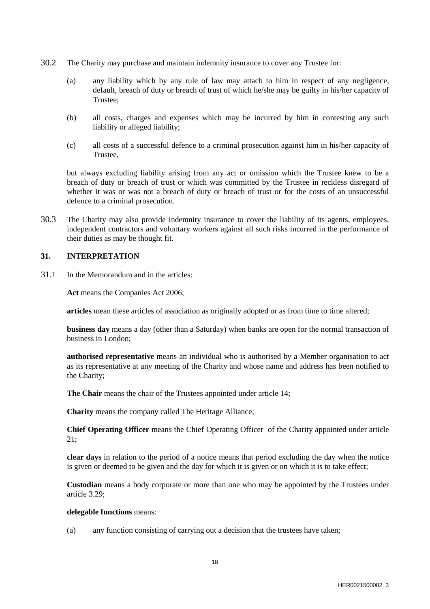- 30.2 The Charity may purchase and maintain indemnity insurance to cover any Trustee for:
	- (a) any liability which by any rule of law may attach to him in respect of any negligence, default, breach of duty or breach of trust of which he/she may be guilty in his/her capacity of Trustee;
	- (b) all costs, charges and expenses which may be incurred by him in contesting any such liability or alleged liability;
	- (c) all costs of a successful defence to a criminal prosecution against him in his/her capacity of Trustee,

but always excluding liability arising from any act or omission which the Trustee knew to be a breach of duty or breach of trust or which was committed by the Trustee in reckless disregard of whether it was or was not a breach of duty or breach of trust or for the costs of an unsuccessful defence to a criminal prosecution.

30.3 The Charity may also provide indemnity insurance to cover the liability of its agents, employees, independent contractors and voluntary workers against all such risks incurred in the performance of their duties as may be thought fit.

### **31. INTERPRETATION**

31.1 In the Memorandum and in the articles:

**Act** means the Companies Act 2006;

**articles** mean these articles of association as originally adopted or as from time to time altered;

**business day** means a day (other than a Saturday) when banks are open for the normal transaction of business in London;

**authorised representative** means an individual who is authorised by a Member organisation to act as its representative at any meeting of the Charity and whose name and address has been notified to the Charity;

**The Chair** means the chair of the Trustees appointed under article 14;

**Charity** means the company called The Heritage Alliance;

**Chief Operating Officer** means the Chief Operating Officer of the Charity appointed under article 21;

**clear days** in relation to the period of a notice means that period excluding the day when the notice is given or deemed to be given and the day for which it is given or on which it is to take effect;

**Custodian** means a body corporate or more than one who may be appointed by the Trustees under article 3.29;

#### **delegable functions** means:

(a) any function consisting of carrying out a decision that the trustees have taken;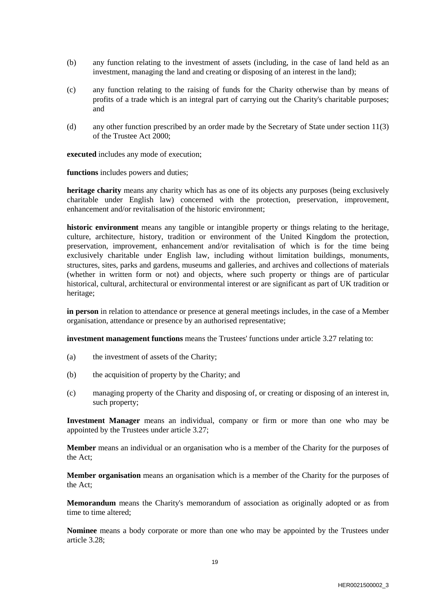- (b) any function relating to the investment of assets (including, in the case of land held as an investment, managing the land and creating or disposing of an interest in the land);
- (c) any function relating to the raising of funds for the Charity otherwise than by means of profits of a trade which is an integral part of carrying out the Charity's charitable purposes; and
- (d) any other function prescribed by an order made by the Secretary of State under section 11(3) of the Trustee Act 2000;

**executed** includes any mode of execution;

**functions** includes powers and duties;

**heritage charity** means any charity which has as one of its objects any purposes (being exclusively charitable under English law) concerned with the protection, preservation, improvement, enhancement and/or revitalisation of the historic environment;

**historic environment** means any tangible or intangible property or things relating to the heritage, culture, architecture, history, tradition or environment of the United Kingdom the protection, preservation, improvement, enhancement and/or revitalisation of which is for the time being exclusively charitable under English law, including without limitation buildings, monuments, structures, sites, parks and gardens, museums and galleries, and archives and collections of materials (whether in written form or not) and objects, where such property or things are of particular historical, cultural, architectural or environmental interest or are significant as part of UK tradition or heritage;

**in person** in relation to attendance or presence at general meetings includes, in the case of a Member organisation, attendance or presence by an authorised representative;

**investment management functions** means the Trustees' functions under article 3.27 relating to:

- (a) the investment of assets of the Charity;
- (b) the acquisition of property by the Charity; and
- (c) managing property of the Charity and disposing of, or creating or disposing of an interest in, such property;

**Investment Manager** means an individual, company or firm or more than one who may be appointed by the Trustees under article 3.27;

**Member** means an individual or an organisation who is a member of the Charity for the purposes of the Act;

**Member organisation** means an organisation which is a member of the Charity for the purposes of the Act;

**Memorandum** means the Charity's memorandum of association as originally adopted or as from time to time altered;

**Nominee** means a body corporate or more than one who may be appointed by the Trustees under article 3.28;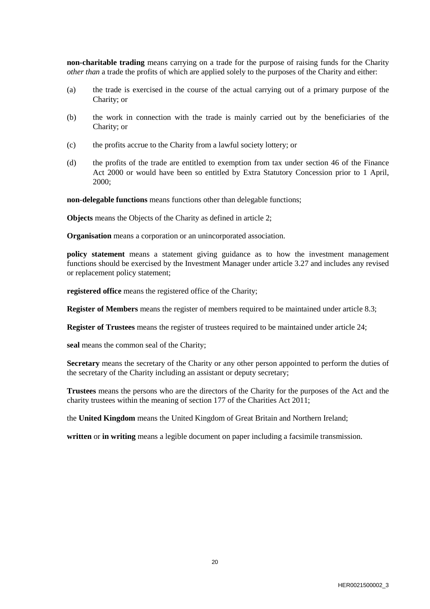**non-charitable trading** means carrying on a trade for the purpose of raising funds for the Charity *other than* a trade the profits of which are applied solely to the purposes of the Charity and either:

- (a) the trade is exercised in the course of the actual carrying out of a primary purpose of the Charity; or
- (b) the work in connection with the trade is mainly carried out by the beneficiaries of the Charity; or
- (c) the profits accrue to the Charity from a lawful society lottery; or
- (d) the profits of the trade are entitled to exemption from tax under section 46 of the Finance Act 2000 or would have been so entitled by Extra Statutory Concession prior to 1 April, 2000;

**non-delegable functions** means functions other than delegable functions;

**Objects** means the Objects of the Charity as defined in article 2;

**Organisation** means a corporation or an unincorporated association.

**policy statement** means a statement giving guidance as to how the investment management functions should be exercised by the Investment Manager under article 3.27 and includes any revised or replacement policy statement;

**registered office** means the registered office of the Charity;

**Register of Members** means the register of members required to be maintained under article 8.3;

**Register of Trustees** means the register of trustees required to be maintained under article 24;

**seal** means the common seal of the Charity;

**Secretary** means the secretary of the Charity or any other person appointed to perform the duties of the secretary of the Charity including an assistant or deputy secretary;

**Trustees** means the persons who are the directors of the Charity for the purposes of the Act and the charity trustees within the meaning of section 177 of the Charities Act 2011;

the **United Kingdom** means the United Kingdom of Great Britain and Northern Ireland;

**written** or **in writing** means a legible document on paper including a facsimile transmission.